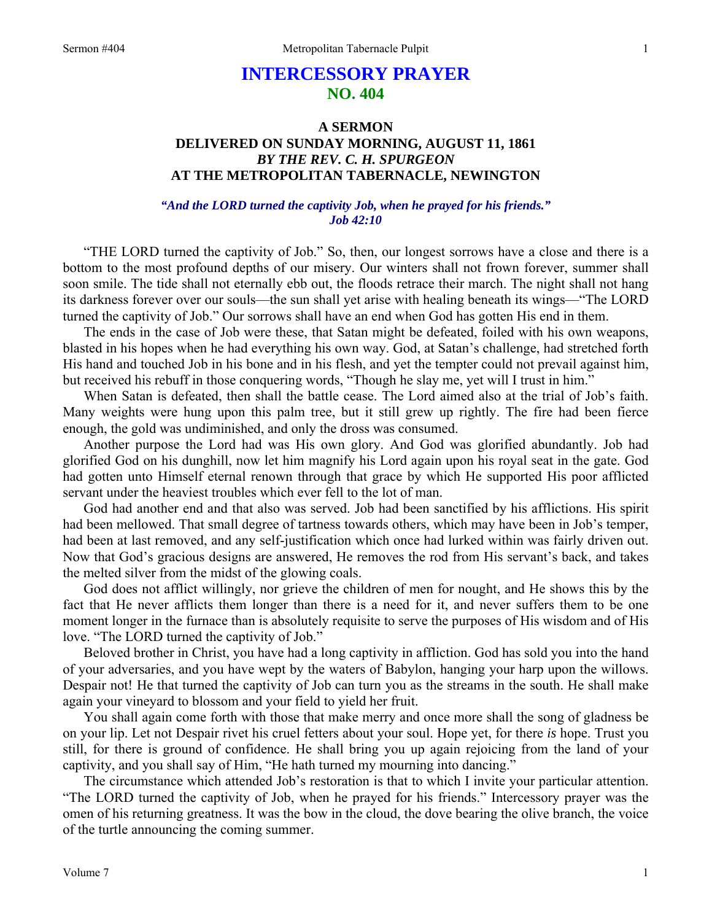# **INTERCESSORY PRAYER NO. 404**

## **A SERMON DELIVERED ON SUNDAY MORNING, AUGUST 11, 1861**  *BY THE REV. C. H. SPURGEON*  **AT THE METROPOLITAN TABERNACLE, NEWINGTON**

### *"And the LORD turned the captivity Job, when he prayed for his friends." Job 42:10*

"THE LORD turned the captivity of Job." So, then, our longest sorrows have a close and there is a bottom to the most profound depths of our misery. Our winters shall not frown forever, summer shall soon smile. The tide shall not eternally ebb out, the floods retrace their march. The night shall not hang its darkness forever over our souls—the sun shall yet arise with healing beneath its wings—"The LORD turned the captivity of Job." Our sorrows shall have an end when God has gotten His end in them.

The ends in the case of Job were these, that Satan might be defeated, foiled with his own weapons, blasted in his hopes when he had everything his own way. God, at Satan's challenge, had stretched forth His hand and touched Job in his bone and in his flesh, and yet the tempter could not prevail against him, but received his rebuff in those conquering words, "Though he slay me, yet will I trust in him."

When Satan is defeated, then shall the battle cease. The Lord aimed also at the trial of Job's faith. Many weights were hung upon this palm tree, but it still grew up rightly. The fire had been fierce enough, the gold was undiminished, and only the dross was consumed.

Another purpose the Lord had was His own glory. And God was glorified abundantly. Job had glorified God on his dunghill, now let him magnify his Lord again upon his royal seat in the gate. God had gotten unto Himself eternal renown through that grace by which He supported His poor afflicted servant under the heaviest troubles which ever fell to the lot of man.

God had another end and that also was served. Job had been sanctified by his afflictions. His spirit had been mellowed. That small degree of tartness towards others, which may have been in Job's temper, had been at last removed, and any self-justification which once had lurked within was fairly driven out. Now that God's gracious designs are answered, He removes the rod from His servant's back, and takes the melted silver from the midst of the glowing coals.

God does not afflict willingly, nor grieve the children of men for nought, and He shows this by the fact that He never afflicts them longer than there is a need for it, and never suffers them to be one moment longer in the furnace than is absolutely requisite to serve the purposes of His wisdom and of His love. "The LORD turned the captivity of Job."

Beloved brother in Christ, you have had a long captivity in affliction. God has sold you into the hand of your adversaries, and you have wept by the waters of Babylon, hanging your harp upon the willows. Despair not! He that turned the captivity of Job can turn you as the streams in the south. He shall make again your vineyard to blossom and your field to yield her fruit.

You shall again come forth with those that make merry and once more shall the song of gladness be on your lip. Let not Despair rivet his cruel fetters about your soul. Hope yet, for there *is* hope. Trust you still, for there is ground of confidence. He shall bring you up again rejoicing from the land of your captivity, and you shall say of Him, "He hath turned my mourning into dancing."

The circumstance which attended Job's restoration is that to which I invite your particular attention. "The LORD turned the captivity of Job, when he prayed for his friends." Intercessory prayer was the omen of his returning greatness. It was the bow in the cloud, the dove bearing the olive branch, the voice of the turtle announcing the coming summer.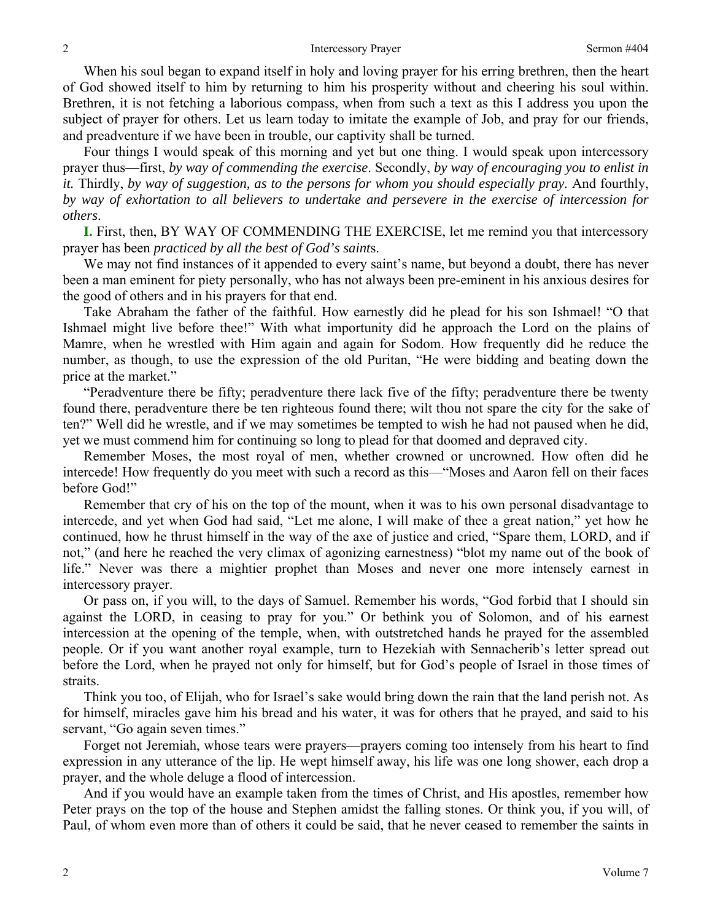When his soul began to expand itself in holy and loving prayer for his erring brethren, then the heart of God showed itself to him by returning to him his prosperity without and cheering his soul within. Brethren, it is not fetching a laborious compass, when from such a text as this I address you upon the subject of prayer for others. Let us learn today to imitate the example of Job, and pray for our friends, and preadventure if we have been in trouble, our captivity shall be turned.

Four things I would speak of this morning and yet but one thing. I would speak upon intercessory prayer thus—first, *by way of commending the exercise*. Secondly, *by way of encouraging you to enlist in it.* Thirdly, *by way of suggestion, as to the persons for whom you should especially pray.* And fourthly, *by way of exhortation to all believers to undertake and persevere in the exercise of intercession for others*.

**I.** First, then, BY WAY OF COMMENDING THE EXERCISE, let me remind you that intercessory prayer has been *practiced by all the best of God's saint*s.

We may not find instances of it appended to every saint's name, but beyond a doubt, there has never been a man eminent for piety personally, who has not always been pre-eminent in his anxious desires for the good of others and in his prayers for that end.

Take Abraham the father of the faithful. How earnestly did he plead for his son Ishmael! "O that Ishmael might live before thee!" With what importunity did he approach the Lord on the plains of Mamre, when he wrestled with Him again and again for Sodom. How frequently did he reduce the number, as though, to use the expression of the old Puritan, "He were bidding and beating down the price at the market."

"Peradventure there be fifty; peradventure there lack five of the fifty; peradventure there be twenty found there, peradventure there be ten righteous found there; wilt thou not spare the city for the sake of ten?" Well did he wrestle, and if we may sometimes be tempted to wish he had not paused when he did, yet we must commend him for continuing so long to plead for that doomed and depraved city.

Remember Moses, the most royal of men, whether crowned or uncrowned. How often did he intercede! How frequently do you meet with such a record as this—"Moses and Aaron fell on their faces before God!"

Remember that cry of his on the top of the mount, when it was to his own personal disadvantage to intercede, and yet when God had said, "Let me alone, I will make of thee a great nation," yet how he continued, how he thrust himself in the way of the axe of justice and cried, "Spare them, LORD, and if not," (and here he reached the very climax of agonizing earnestness) "blot my name out of the book of life." Never was there a mightier prophet than Moses and never one more intensely earnest in intercessory prayer.

Or pass on, if you will, to the days of Samuel. Remember his words, "God forbid that I should sin against the LORD, in ceasing to pray for you." Or bethink you of Solomon, and of his earnest intercession at the opening of the temple, when, with outstretched hands he prayed for the assembled people. Or if you want another royal example, turn to Hezekiah with Sennacherib's letter spread out before the Lord, when he prayed not only for himself, but for God's people of Israel in those times of straits.

Think you too, of Elijah, who for Israel's sake would bring down the rain that the land perish not. As for himself, miracles gave him his bread and his water, it was for others that he prayed, and said to his servant, "Go again seven times."

Forget not Jeremiah, whose tears were prayers—prayers coming too intensely from his heart to find expression in any utterance of the lip. He wept himself away, his life was one long shower, each drop a prayer, and the whole deluge a flood of intercession.

And if you would have an example taken from the times of Christ, and His apostles, remember how Peter prays on the top of the house and Stephen amidst the falling stones. Or think you, if you will, of Paul, of whom even more than of others it could be said, that he never ceased to remember the saints in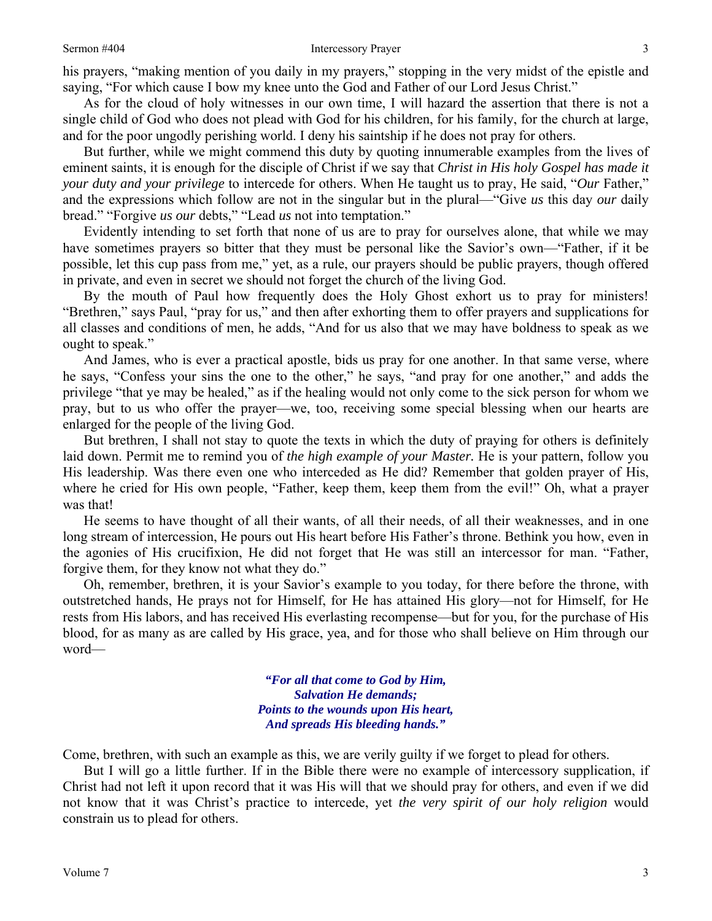his prayers, "making mention of you daily in my prayers," stopping in the very midst of the epistle and saying, "For which cause I bow my knee unto the God and Father of our Lord Jesus Christ."

As for the cloud of holy witnesses in our own time, I will hazard the assertion that there is not a single child of God who does not plead with God for his children, for his family, for the church at large, and for the poor ungodly perishing world. I deny his saintship if he does not pray for others.

But further, while we might commend this duty by quoting innumerable examples from the lives of eminent saints, it is enough for the disciple of Christ if we say that *Christ in His holy Gospel has made it your duty and your privilege* to intercede for others. When He taught us to pray, He said, "*Our* Father," and the expressions which follow are not in the singular but in the plural—"Give *us* this day *our* daily bread." "Forgive *us our* debts," "Lead *us* not into temptation."

Evidently intending to set forth that none of us are to pray for ourselves alone, that while we may have sometimes prayers so bitter that they must be personal like the Savior's own—"Father, if it be possible, let this cup pass from me," yet, as a rule, our prayers should be public prayers, though offered in private, and even in secret we should not forget the church of the living God.

By the mouth of Paul how frequently does the Holy Ghost exhort us to pray for ministers! "Brethren," says Paul, "pray for us," and then after exhorting them to offer prayers and supplications for all classes and conditions of men, he adds, "And for us also that we may have boldness to speak as we ought to speak."

And James, who is ever a practical apostle, bids us pray for one another. In that same verse, where he says, "Confess your sins the one to the other," he says, "and pray for one another," and adds the privilege "that ye may be healed," as if the healing would not only come to the sick person for whom we pray, but to us who offer the prayer—we, too, receiving some special blessing when our hearts are enlarged for the people of the living God.

But brethren, I shall not stay to quote the texts in which the duty of praying for others is definitely laid down. Permit me to remind you of *the high example of your Master.* He is your pattern, follow you His leadership. Was there even one who interceded as He did? Remember that golden prayer of His, where he cried for His own people, "Father, keep them, keep them from the evil!" Oh, what a prayer was that!

He seems to have thought of all their wants, of all their needs, of all their weaknesses, and in one long stream of intercession, He pours out His heart before His Father's throne. Bethink you how, even in the agonies of His crucifixion, He did not forget that He was still an intercessor for man. "Father, forgive them, for they know not what they do."

Oh, remember, brethren, it is your Savior's example to you today, for there before the throne, with outstretched hands, He prays not for Himself, for He has attained His glory—not for Himself, for He rests from His labors, and has received His everlasting recompense—but for you, for the purchase of His blood, for as many as are called by His grace, yea, and for those who shall believe on Him through our word—

> *"For all that come to God by Him, Salvation He demands; Points to the wounds upon His heart, And spreads His bleeding hands."*

Come, brethren, with such an example as this, we are verily guilty if we forget to plead for others.

But I will go a little further. If in the Bible there were no example of intercessory supplication, if Christ had not left it upon record that it was His will that we should pray for others, and even if we did not know that it was Christ's practice to intercede, yet *the very spirit of our holy religion* would constrain us to plead for others.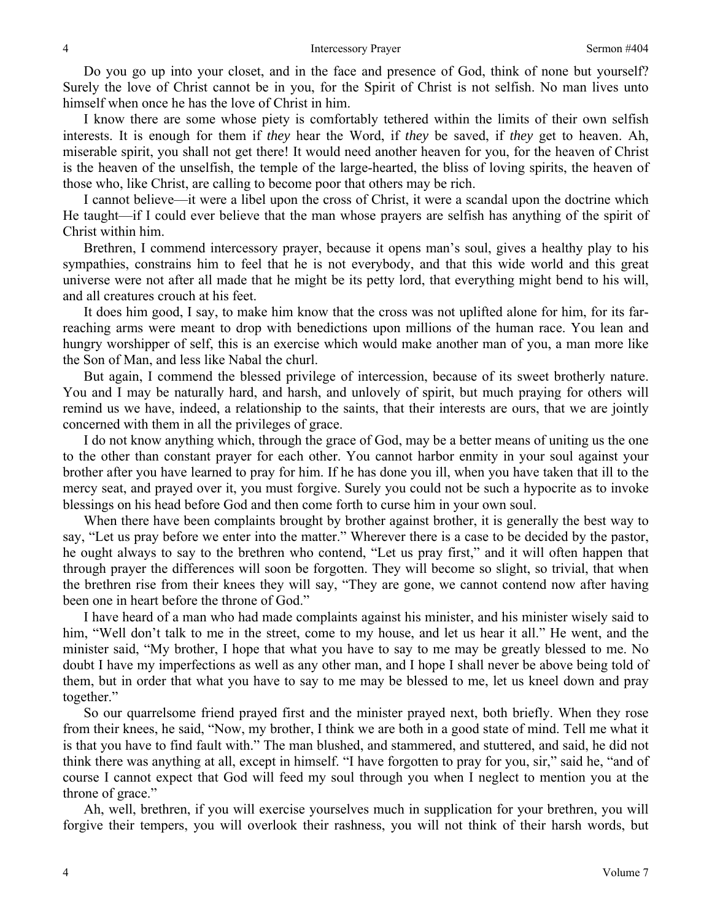Do you go up into your closet, and in the face and presence of God, think of none but yourself? Surely the love of Christ cannot be in you, for the Spirit of Christ is not selfish. No man lives unto himself when once he has the love of Christ in him.

I know there are some whose piety is comfortably tethered within the limits of their own selfish interests. It is enough for them if *they* hear the Word, if *they* be saved, if *they* get to heaven. Ah, miserable spirit, you shall not get there! It would need another heaven for you, for the heaven of Christ is the heaven of the unselfish, the temple of the large-hearted, the bliss of loving spirits, the heaven of those who, like Christ, are calling to become poor that others may be rich.

I cannot believe—it were a libel upon the cross of Christ, it were a scandal upon the doctrine which He taught—if I could ever believe that the man whose prayers are selfish has anything of the spirit of Christ within him.

Brethren, I commend intercessory prayer, because it opens man's soul, gives a healthy play to his sympathies, constrains him to feel that he is not everybody, and that this wide world and this great universe were not after all made that he might be its petty lord, that everything might bend to his will, and all creatures crouch at his feet.

It does him good, I say, to make him know that the cross was not uplifted alone for him, for its farreaching arms were meant to drop with benedictions upon millions of the human race. You lean and hungry worshipper of self, this is an exercise which would make another man of you, a man more like the Son of Man, and less like Nabal the churl.

But again, I commend the blessed privilege of intercession, because of its sweet brotherly nature. You and I may be naturally hard, and harsh, and unlovely of spirit, but much praying for others will remind us we have, indeed, a relationship to the saints, that their interests are ours, that we are jointly concerned with them in all the privileges of grace.

I do not know anything which, through the grace of God, may be a better means of uniting us the one to the other than constant prayer for each other. You cannot harbor enmity in your soul against your brother after you have learned to pray for him. If he has done you ill, when you have taken that ill to the mercy seat, and prayed over it, you must forgive. Surely you could not be such a hypocrite as to invoke blessings on his head before God and then come forth to curse him in your own soul.

When there have been complaints brought by brother against brother, it is generally the best way to say, "Let us pray before we enter into the matter." Wherever there is a case to be decided by the pastor, he ought always to say to the brethren who contend, "Let us pray first," and it will often happen that through prayer the differences will soon be forgotten. They will become so slight, so trivial, that when the brethren rise from their knees they will say, "They are gone, we cannot contend now after having been one in heart before the throne of God."

I have heard of a man who had made complaints against his minister, and his minister wisely said to him, "Well don't talk to me in the street, come to my house, and let us hear it all." He went, and the minister said, "My brother, I hope that what you have to say to me may be greatly blessed to me. No doubt I have my imperfections as well as any other man, and I hope I shall never be above being told of them, but in order that what you have to say to me may be blessed to me, let us kneel down and pray together."

So our quarrelsome friend prayed first and the minister prayed next, both briefly. When they rose from their knees, he said, "Now, my brother, I think we are both in a good state of mind. Tell me what it is that you have to find fault with." The man blushed, and stammered, and stuttered, and said, he did not think there was anything at all, except in himself. "I have forgotten to pray for you, sir," said he, "and of course I cannot expect that God will feed my soul through you when I neglect to mention you at the throne of grace."

Ah, well, brethren, if you will exercise yourselves much in supplication for your brethren, you will forgive their tempers, you will overlook their rashness, you will not think of their harsh words, but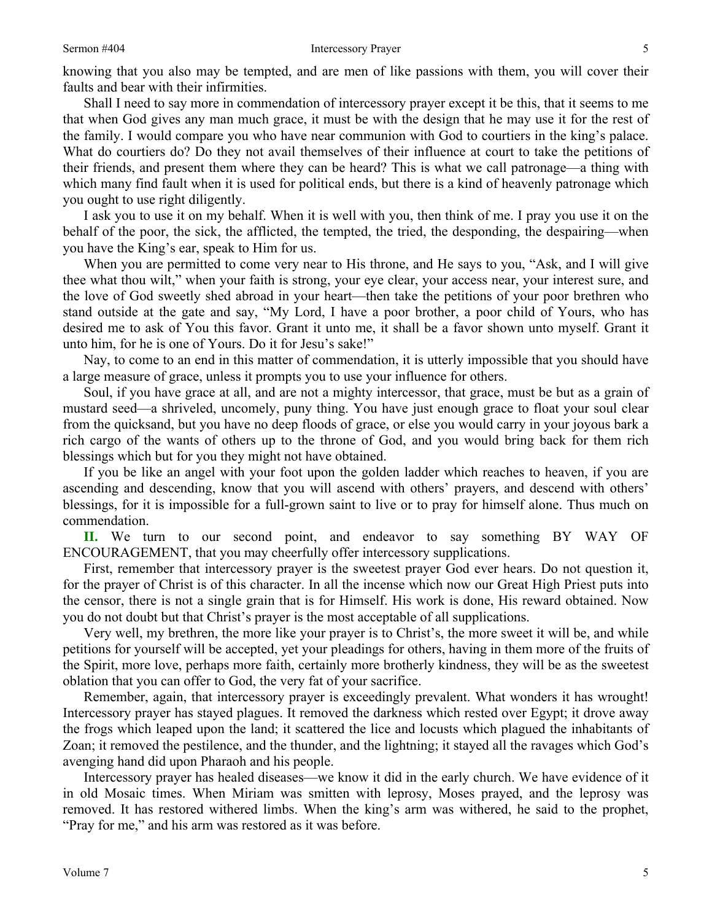### Sermon #404 Intercessory Prayer

knowing that you also may be tempted, and are men of like passions with them, you will cover their faults and bear with their infirmities.

Shall I need to say more in commendation of intercessory prayer except it be this, that it seems to me that when God gives any man much grace, it must be with the design that he may use it for the rest of the family. I would compare you who have near communion with God to courtiers in the king's palace. What do courtiers do? Do they not avail themselves of their influence at court to take the petitions of their friends, and present them where they can be heard? This is what we call patronage—a thing with which many find fault when it is used for political ends, but there is a kind of heavenly patronage which you ought to use right diligently.

I ask you to use it on my behalf. When it is well with you, then think of me. I pray you use it on the behalf of the poor, the sick, the afflicted, the tempted, the tried, the desponding, the despairing—when you have the King's ear, speak to Him for us.

When you are permitted to come very near to His throne, and He says to you, "Ask, and I will give thee what thou wilt," when your faith is strong, your eye clear, your access near, your interest sure, and the love of God sweetly shed abroad in your heart—then take the petitions of your poor brethren who stand outside at the gate and say, "My Lord, I have a poor brother, a poor child of Yours, who has desired me to ask of You this favor. Grant it unto me, it shall be a favor shown unto myself. Grant it unto him, for he is one of Yours. Do it for Jesu's sake!"

Nay, to come to an end in this matter of commendation, it is utterly impossible that you should have a large measure of grace, unless it prompts you to use your influence for others.

Soul, if you have grace at all, and are not a mighty intercessor, that grace, must be but as a grain of mustard seed—a shriveled, uncomely, puny thing. You have just enough grace to float your soul clear from the quicksand, but you have no deep floods of grace, or else you would carry in your joyous bark a rich cargo of the wants of others up to the throne of God, and you would bring back for them rich blessings which but for you they might not have obtained.

If you be like an angel with your foot upon the golden ladder which reaches to heaven, if you are ascending and descending, know that you will ascend with others' prayers, and descend with others' blessings, for it is impossible for a full-grown saint to live or to pray for himself alone. Thus much on commendation.

**II.** We turn to our second point, and endeavor to say something BY WAY OF ENCOURAGEMENT, that you may cheerfully offer intercessory supplications.

First, remember that intercessory prayer is the sweetest prayer God ever hears. Do not question it, for the prayer of Christ is of this character. In all the incense which now our Great High Priest puts into the censor, there is not a single grain that is for Himself. His work is done, His reward obtained. Now you do not doubt but that Christ's prayer is the most acceptable of all supplications.

Very well, my brethren, the more like your prayer is to Christ's, the more sweet it will be, and while petitions for yourself will be accepted, yet your pleadings for others, having in them more of the fruits of the Spirit, more love, perhaps more faith, certainly more brotherly kindness, they will be as the sweetest oblation that you can offer to God, the very fat of your sacrifice.

Remember, again, that intercessory prayer is exceedingly prevalent. What wonders it has wrought! Intercessory prayer has stayed plagues. It removed the darkness which rested over Egypt; it drove away the frogs which leaped upon the land; it scattered the lice and locusts which plagued the inhabitants of Zoan; it removed the pestilence, and the thunder, and the lightning; it stayed all the ravages which God's avenging hand did upon Pharaoh and his people.

Intercessory prayer has healed diseases—we know it did in the early church. We have evidence of it in old Mosaic times. When Miriam was smitten with leprosy, Moses prayed, and the leprosy was removed. It has restored withered limbs. When the king's arm was withered, he said to the prophet, "Pray for me," and his arm was restored as it was before.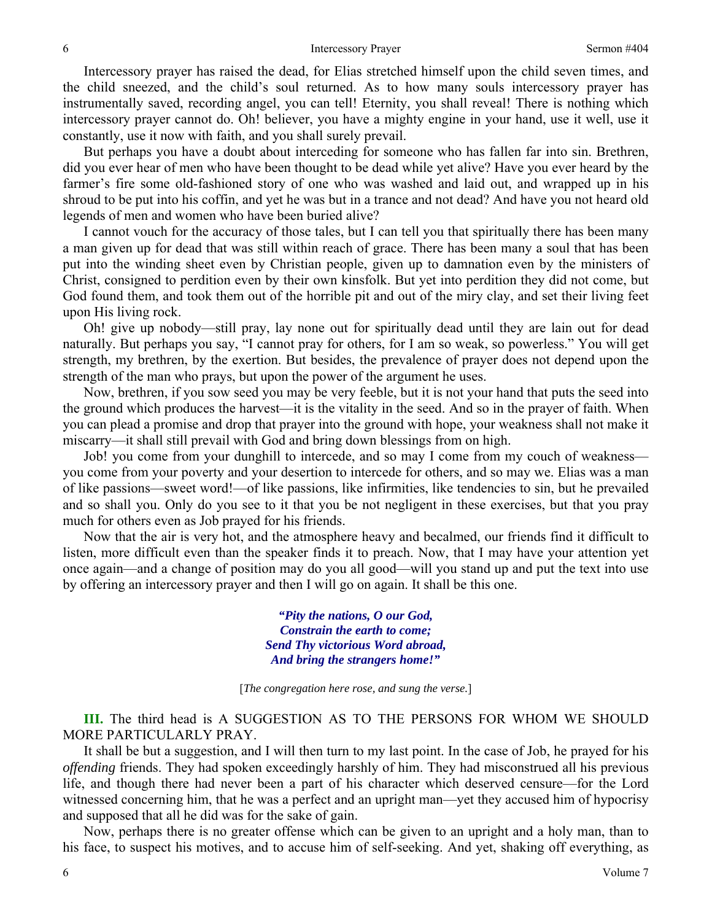Intercessory prayer has raised the dead, for Elias stretched himself upon the child seven times, and the child sneezed, and the child's soul returned. As to how many souls intercessory prayer has instrumentally saved, recording angel, you can tell! Eternity, you shall reveal! There is nothing which intercessory prayer cannot do. Oh! believer, you have a mighty engine in your hand, use it well, use it constantly, use it now with faith, and you shall surely prevail.

But perhaps you have a doubt about interceding for someone who has fallen far into sin. Brethren, did you ever hear of men who have been thought to be dead while yet alive? Have you ever heard by the farmer's fire some old-fashioned story of one who was washed and laid out, and wrapped up in his shroud to be put into his coffin, and yet he was but in a trance and not dead? And have you not heard old legends of men and women who have been buried alive?

I cannot vouch for the accuracy of those tales, but I can tell you that spiritually there has been many a man given up for dead that was still within reach of grace. There has been many a soul that has been put into the winding sheet even by Christian people, given up to damnation even by the ministers of Christ, consigned to perdition even by their own kinsfolk. But yet into perdition they did not come, but God found them, and took them out of the horrible pit and out of the miry clay, and set their living feet upon His living rock.

Oh! give up nobody—still pray, lay none out for spiritually dead until they are lain out for dead naturally. But perhaps you say, "I cannot pray for others, for I am so weak, so powerless." You will get strength, my brethren, by the exertion. But besides, the prevalence of prayer does not depend upon the strength of the man who prays, but upon the power of the argument he uses.

Now, brethren, if you sow seed you may be very feeble, but it is not your hand that puts the seed into the ground which produces the harvest—it is the vitality in the seed. And so in the prayer of faith. When you can plead a promise and drop that prayer into the ground with hope, your weakness shall not make it miscarry—it shall still prevail with God and bring down blessings from on high.

Job! you come from your dunghill to intercede, and so may I come from my couch of weakness you come from your poverty and your desertion to intercede for others, and so may we. Elias was a man of like passions—sweet word!—of like passions, like infirmities, like tendencies to sin, but he prevailed and so shall you. Only do you see to it that you be not negligent in these exercises, but that you pray much for others even as Job prayed for his friends.

Now that the air is very hot, and the atmosphere heavy and becalmed, our friends find it difficult to listen, more difficult even than the speaker finds it to preach. Now, that I may have your attention yet once again—and a change of position may do you all good—will you stand up and put the text into use by offering an intercessory prayer and then I will go on again. It shall be this one.

> *"Pity the nations, O our God, Constrain the earth to come; Send Thy victorious Word abroad, And bring the strangers home!"*

[*The congregation here rose, and sung the verse.*]

**III.** The third head is A SUGGESTION AS TO THE PERSONS FOR WHOM WE SHOULD MORE PARTICULARLY PRAY.

It shall be but a suggestion, and I will then turn to my last point. In the case of Job, he prayed for his *offending* friends. They had spoken exceedingly harshly of him. They had misconstrued all his previous life, and though there had never been a part of his character which deserved censure—for the Lord witnessed concerning him, that he was a perfect and an upright man—yet they accused him of hypocrisy and supposed that all he did was for the sake of gain.

Now, perhaps there is no greater offense which can be given to an upright and a holy man, than to his face, to suspect his motives, and to accuse him of self-seeking. And yet, shaking off everything, as

6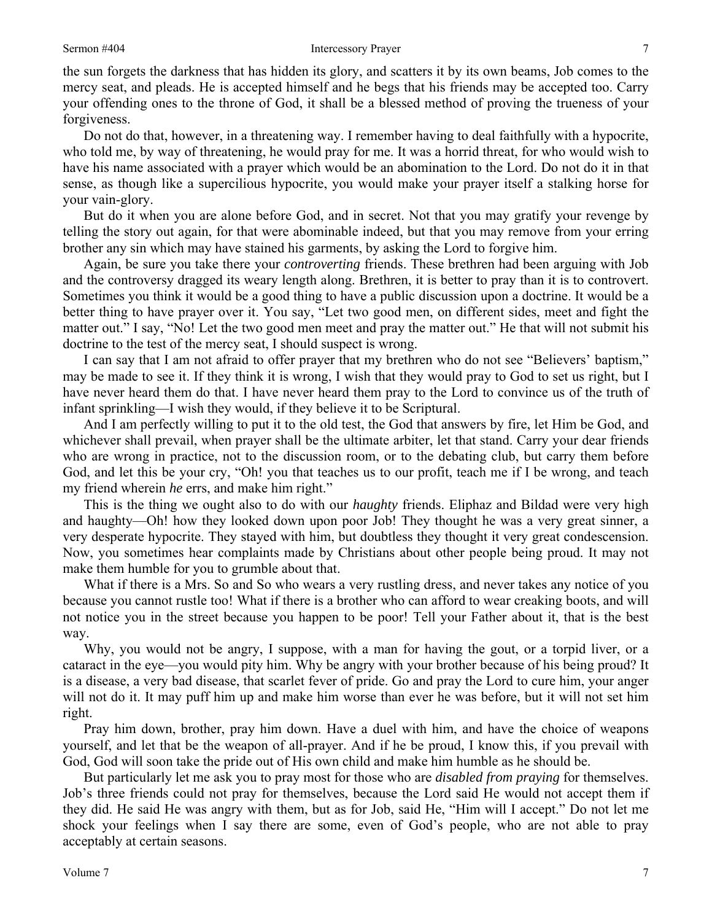the sun forgets the darkness that has hidden its glory, and scatters it by its own beams, Job comes to the mercy seat, and pleads. He is accepted himself and he begs that his friends may be accepted too. Carry your offending ones to the throne of God, it shall be a blessed method of proving the trueness of your forgiveness.

Do not do that, however, in a threatening way. I remember having to deal faithfully with a hypocrite, who told me, by way of threatening, he would pray for me. It was a horrid threat, for who would wish to have his name associated with a prayer which would be an abomination to the Lord. Do not do it in that sense, as though like a supercilious hypocrite, you would make your prayer itself a stalking horse for your vain-glory.

But do it when you are alone before God, and in secret. Not that you may gratify your revenge by telling the story out again, for that were abominable indeed, but that you may remove from your erring brother any sin which may have stained his garments, by asking the Lord to forgive him.

Again, be sure you take there your *controverting* friends. These brethren had been arguing with Job and the controversy dragged its weary length along. Brethren, it is better to pray than it is to controvert. Sometimes you think it would be a good thing to have a public discussion upon a doctrine. It would be a better thing to have prayer over it. You say, "Let two good men, on different sides, meet and fight the matter out." I say, "No! Let the two good men meet and pray the matter out." He that will not submit his doctrine to the test of the mercy seat, I should suspect is wrong.

I can say that I am not afraid to offer prayer that my brethren who do not see "Believers' baptism," may be made to see it. If they think it is wrong, I wish that they would pray to God to set us right, but I have never heard them do that. I have never heard them pray to the Lord to convince us of the truth of infant sprinkling—I wish they would, if they believe it to be Scriptural.

And I am perfectly willing to put it to the old test, the God that answers by fire, let Him be God, and whichever shall prevail, when prayer shall be the ultimate arbiter, let that stand. Carry your dear friends who are wrong in practice, not to the discussion room, or to the debating club, but carry them before God, and let this be your cry, "Oh! you that teaches us to our profit, teach me if I be wrong, and teach my friend wherein *he* errs, and make him right."

This is the thing we ought also to do with our *haughty* friends. Eliphaz and Bildad were very high and haughty—Oh! how they looked down upon poor Job! They thought he was a very great sinner, a very desperate hypocrite. They stayed with him, but doubtless they thought it very great condescension. Now, you sometimes hear complaints made by Christians about other people being proud. It may not make them humble for you to grumble about that.

What if there is a Mrs. So and So who wears a very rustling dress, and never takes any notice of you because you cannot rustle too! What if there is a brother who can afford to wear creaking boots, and will not notice you in the street because you happen to be poor! Tell your Father about it, that is the best way.

Why, you would not be angry, I suppose, with a man for having the gout, or a torpid liver, or a cataract in the eye—you would pity him. Why be angry with your brother because of his being proud? It is a disease, a very bad disease, that scarlet fever of pride. Go and pray the Lord to cure him, your anger will not do it. It may puff him up and make him worse than ever he was before, but it will not set him right.

Pray him down, brother, pray him down. Have a duel with him, and have the choice of weapons yourself, and let that be the weapon of all-prayer. And if he be proud, I know this, if you prevail with God, God will soon take the pride out of His own child and make him humble as he should be.

But particularly let me ask you to pray most for those who are *disabled from praying* for themselves. Job's three friends could not pray for themselves, because the Lord said He would not accept them if they did. He said He was angry with them, but as for Job, said He, "Him will I accept." Do not let me shock your feelings when I say there are some, even of God's people, who are not able to pray acceptably at certain seasons.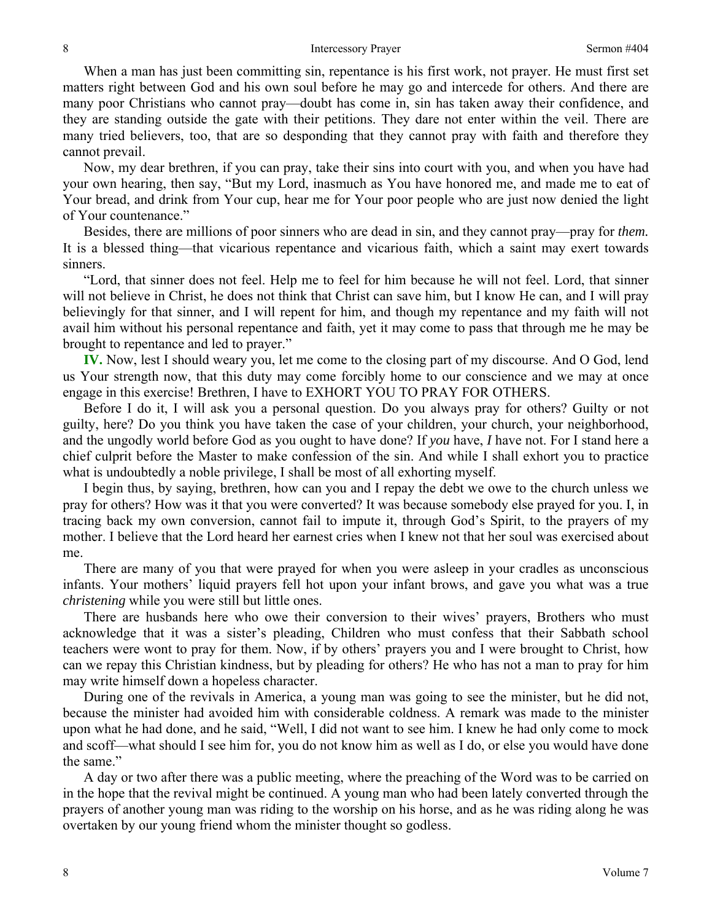When a man has just been committing sin, repentance is his first work, not prayer. He must first set matters right between God and his own soul before he may go and intercede for others. And there are many poor Christians who cannot pray—doubt has come in, sin has taken away their confidence, and they are standing outside the gate with their petitions. They dare not enter within the veil. There are many tried believers, too, that are so desponding that they cannot pray with faith and therefore they cannot prevail.

Now, my dear brethren, if you can pray, take their sins into court with you, and when you have had your own hearing, then say, "But my Lord, inasmuch as You have honored me, and made me to eat of Your bread, and drink from Your cup, hear me for Your poor people who are just now denied the light of Your countenance."

Besides, there are millions of poor sinners who are dead in sin, and they cannot pray—pray for *them.*  It is a blessed thing—that vicarious repentance and vicarious faith, which a saint may exert towards sinners.

"Lord, that sinner does not feel. Help me to feel for him because he will not feel. Lord, that sinner will not believe in Christ, he does not think that Christ can save him, but I know He can, and I will pray believingly for that sinner, and I will repent for him, and though my repentance and my faith will not avail him without his personal repentance and faith, yet it may come to pass that through me he may be brought to repentance and led to prayer."

**IV.** Now, lest I should weary you, let me come to the closing part of my discourse. And O God, lend us Your strength now, that this duty may come forcibly home to our conscience and we may at once engage in this exercise! Brethren, I have to EXHORT YOU TO PRAY FOR OTHERS.

Before I do it, I will ask you a personal question. Do you always pray for others? Guilty or not guilty, here? Do you think you have taken the case of your children, your church, your neighborhood, and the ungodly world before God as you ought to have done? If *you* have, *I* have not. For I stand here a chief culprit before the Master to make confession of the sin. And while I shall exhort you to practice what is undoubtedly a noble privilege, I shall be most of all exhorting myself.

I begin thus, by saying, brethren, how can you and I repay the debt we owe to the church unless we pray for others? How was it that you were converted? It was because somebody else prayed for you. I, in tracing back my own conversion, cannot fail to impute it, through God's Spirit, to the prayers of my mother. I believe that the Lord heard her earnest cries when I knew not that her soul was exercised about me.

There are many of you that were prayed for when you were asleep in your cradles as unconscious infants. Your mothers' liquid prayers fell hot upon your infant brows, and gave you what was a true *christening* while you were still but little ones.

There are husbands here who owe their conversion to their wives' prayers, Brothers who must acknowledge that it was a sister's pleading, Children who must confess that their Sabbath school teachers were wont to pray for them. Now, if by others' prayers you and I were brought to Christ, how can we repay this Christian kindness, but by pleading for others? He who has not a man to pray for him may write himself down a hopeless character.

During one of the revivals in America, a young man was going to see the minister, but he did not, because the minister had avoided him with considerable coldness. A remark was made to the minister upon what he had done, and he said, "Well, I did not want to see him. I knew he had only come to mock and scoff—what should I see him for, you do not know him as well as I do, or else you would have done the same."

A day or two after there was a public meeting, where the preaching of the Word was to be carried on in the hope that the revival might be continued. A young man who had been lately converted through the prayers of another young man was riding to the worship on his horse, and as he was riding along he was overtaken by our young friend whom the minister thought so godless.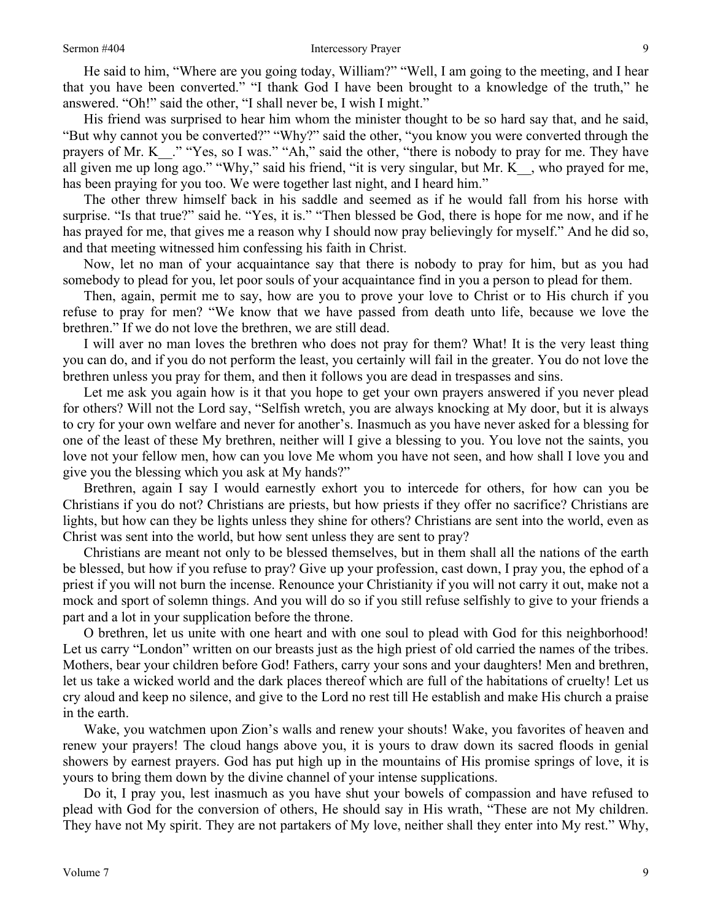He said to him, "Where are you going today, William?" "Well, I am going to the meeting, and I hear that you have been converted." "I thank God I have been brought to a knowledge of the truth," he answered. "Oh!" said the other, "I shall never be, I wish I might."

His friend was surprised to hear him whom the minister thought to be so hard say that, and he said, "But why cannot you be converted?" "Why?" said the other, "you know you were converted through the prayers of Mr. K . " "Yes, so I was." "Ah," said the other, "there is nobody to pray for me. They have all given me up long ago." "Why," said his friend, "it is very singular, but Mr. K\_, who prayed for me, has been praying for you too. We were together last night, and I heard him."

The other threw himself back in his saddle and seemed as if he would fall from his horse with surprise. "Is that true?" said he. "Yes, it is." "Then blessed be God, there is hope for me now, and if he has prayed for me, that gives me a reason why I should now pray believingly for myself." And he did so, and that meeting witnessed him confessing his faith in Christ.

Now, let no man of your acquaintance say that there is nobody to pray for him, but as you had somebody to plead for you, let poor souls of your acquaintance find in you a person to plead for them.

Then, again, permit me to say, how are you to prove your love to Christ or to His church if you refuse to pray for men? "We know that we have passed from death unto life, because we love the brethren." If we do not love the brethren, we are still dead.

I will aver no man loves the brethren who does not pray for them? What! It is the very least thing you can do, and if you do not perform the least, you certainly will fail in the greater. You do not love the brethren unless you pray for them, and then it follows you are dead in trespasses and sins.

Let me ask you again how is it that you hope to get your own prayers answered if you never plead for others? Will not the Lord say, "Selfish wretch, you are always knocking at My door, but it is always to cry for your own welfare and never for another's. Inasmuch as you have never asked for a blessing for one of the least of these My brethren, neither will I give a blessing to you. You love not the saints, you love not your fellow men, how can you love Me whom you have not seen, and how shall I love you and give you the blessing which you ask at My hands?"

Brethren, again I say I would earnestly exhort you to intercede for others, for how can you be Christians if you do not? Christians are priests, but how priests if they offer no sacrifice? Christians are lights, but how can they be lights unless they shine for others? Christians are sent into the world, even as Christ was sent into the world, but how sent unless they are sent to pray?

Christians are meant not only to be blessed themselves, but in them shall all the nations of the earth be blessed, but how if you refuse to pray? Give up your profession, cast down, I pray you, the ephod of a priest if you will not burn the incense. Renounce your Christianity if you will not carry it out, make not a mock and sport of solemn things. And you will do so if you still refuse selfishly to give to your friends a part and a lot in your supplication before the throne.

O brethren, let us unite with one heart and with one soul to plead with God for this neighborhood! Let us carry "London" written on our breasts just as the high priest of old carried the names of the tribes. Mothers, bear your children before God! Fathers, carry your sons and your daughters! Men and brethren, let us take a wicked world and the dark places thereof which are full of the habitations of cruelty! Let us cry aloud and keep no silence, and give to the Lord no rest till He establish and make His church a praise in the earth.

Wake, you watchmen upon Zion's walls and renew your shouts! Wake, you favorites of heaven and renew your prayers! The cloud hangs above you, it is yours to draw down its sacred floods in genial showers by earnest prayers. God has put high up in the mountains of His promise springs of love, it is yours to bring them down by the divine channel of your intense supplications.

Do it, I pray you, lest inasmuch as you have shut your bowels of compassion and have refused to plead with God for the conversion of others, He should say in His wrath, "These are not My children. They have not My spirit. They are not partakers of My love, neither shall they enter into My rest." Why,